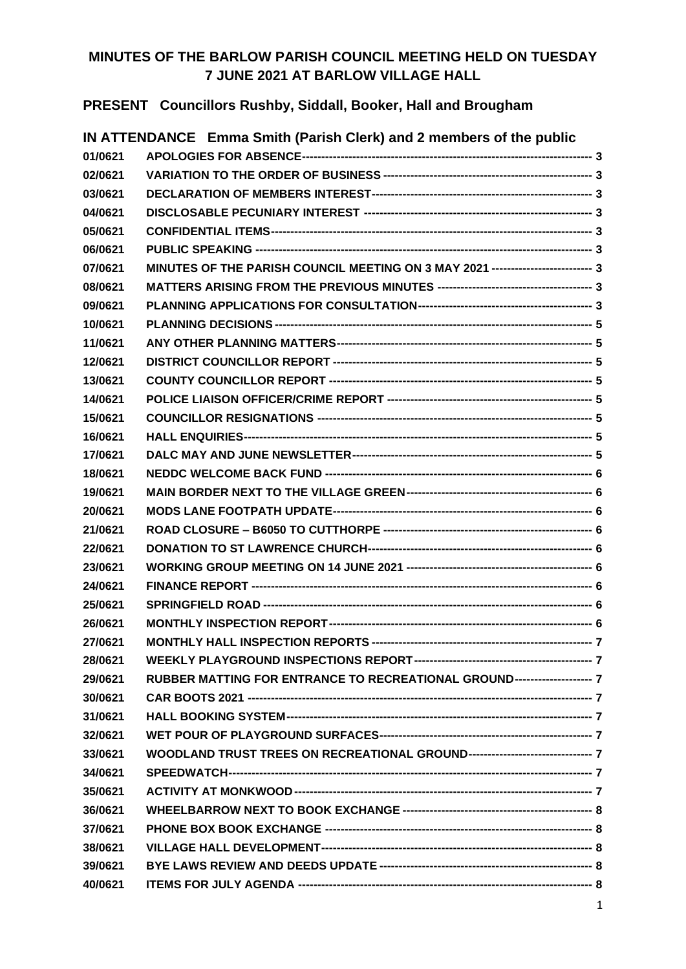## **MINUTES OF THE BARLOW PARISH COUNCIL MEETING HELD ON TUESDAY 7 JUNE 2021 AT BARLOW VILLAGE HALL**

**PRESENT Councillors Rushby, Siddall, Booker, Hall and Brougham**

|         | IN ATTENDANCE Emma Smith (Parish Clerk) and 2 members of the public             |  |
|---------|---------------------------------------------------------------------------------|--|
| 01/0621 |                                                                                 |  |
| 02/0621 |                                                                                 |  |
| 03/0621 |                                                                                 |  |
| 04/0621 |                                                                                 |  |
| 05/0621 |                                                                                 |  |
| 06/0621 |                                                                                 |  |
| 07/0621 | MINUTES OF THE PARISH COUNCIL MEETING ON 3 MAY 2021 ------------------------- 3 |  |
| 08/0621 |                                                                                 |  |
| 09/0621 |                                                                                 |  |
| 10/0621 |                                                                                 |  |
| 11/0621 |                                                                                 |  |
| 12/0621 |                                                                                 |  |
| 13/0621 |                                                                                 |  |
| 14/0621 |                                                                                 |  |
| 15/0621 |                                                                                 |  |
| 16/0621 |                                                                                 |  |
| 17/0621 |                                                                                 |  |
| 18/0621 |                                                                                 |  |
| 19/0621 |                                                                                 |  |
| 20/0621 |                                                                                 |  |
| 21/0621 |                                                                                 |  |
| 22/0621 |                                                                                 |  |
| 23/0621 |                                                                                 |  |
| 24/0621 |                                                                                 |  |
| 25/0621 |                                                                                 |  |
| 26/0621 |                                                                                 |  |
| 27/0621 |                                                                                 |  |
| 28/0621 |                                                                                 |  |
| 29/0621 | RUBBER MATTING FOR ENTRANCE TO RECREATIONAL GROUND-------------------- 7        |  |
| 30/0621 |                                                                                 |  |
| 31/0621 |                                                                                 |  |
| 32/0621 |                                                                                 |  |
| 33/0621 | WOODLAND TRUST TREES ON RECREATIONAL GROUND-------------------------------- 7   |  |
| 34/0621 |                                                                                 |  |
| 35/0621 |                                                                                 |  |
| 36/0621 |                                                                                 |  |
| 37/0621 |                                                                                 |  |
| 38/0621 |                                                                                 |  |
| 39/0621 |                                                                                 |  |
| 40/0621 |                                                                                 |  |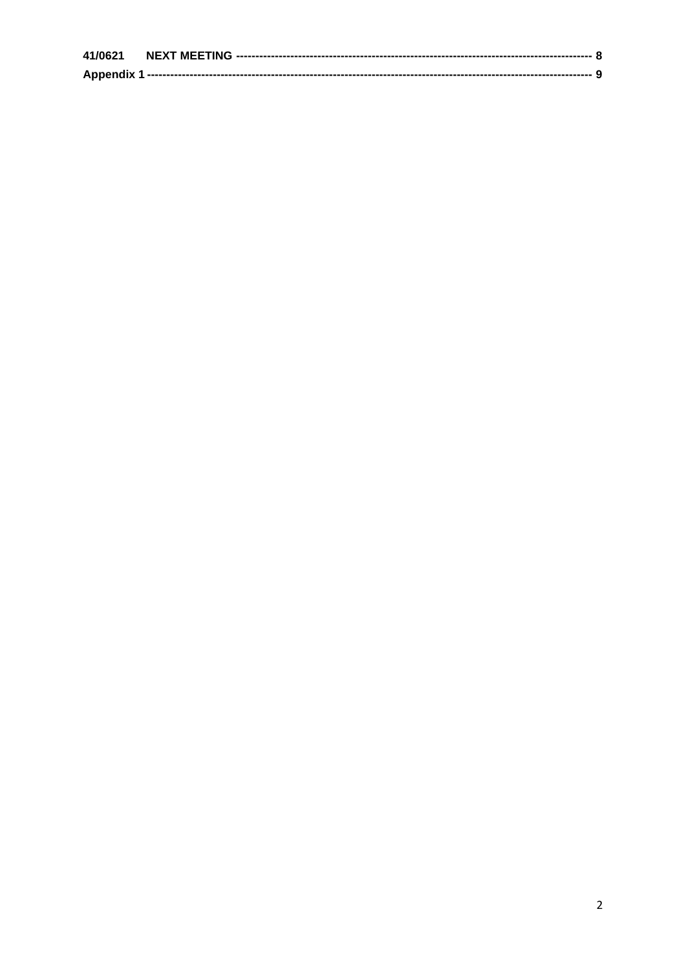| 41/0621           |  |
|-------------------|--|
| <b>Appendix 1</b> |  |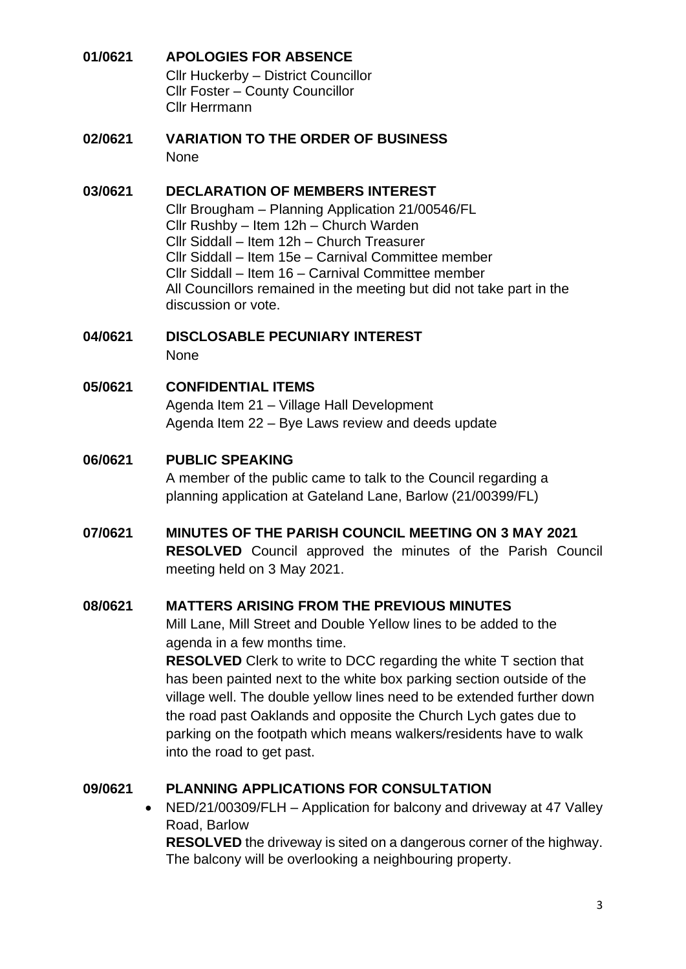## <span id="page-2-0"></span>**01/0621 APOLOGIES FOR ABSENCE** Cllr Huckerby – District Councillor Cllr Foster – County Councillor

Cllr Herrmann

<span id="page-2-1"></span>**02/0621 VARIATION TO THE ORDER OF BUSINESS** None

#### <span id="page-2-2"></span>**03/0621 DECLARATION OF MEMBERS INTEREST**

Cllr Brougham – Planning Application 21/00546/FL Cllr Rushby – Item 12h – Church Warden Cllr Siddall – Item 12h – Church Treasurer Cllr Siddall – Item 15e – Carnival Committee member Cllr Siddall – Item 16 – Carnival Committee member All Councillors remained in the meeting but did not take part in the discussion or vote.

<span id="page-2-3"></span>**04/0621 DISCLOSABLE PECUNIARY INTEREST**

None

### <span id="page-2-4"></span>**05/0621 CONFIDENTIAL ITEMS**

Agenda Item 21 – Village Hall Development Agenda Item 22 – Bye Laws review and deeds update

## <span id="page-2-5"></span>**06/0621 PUBLIC SPEAKING**

A member of the public came to talk to the Council regarding a planning application at Gateland Lane, Barlow (21/00399/FL)

<span id="page-2-6"></span>**07/0621 MINUTES OF THE PARISH COUNCIL MEETING ON 3 MAY 2021 RESOLVED** Council approved the minutes of the Parish Council meeting held on 3 May 2021.

### <span id="page-2-7"></span>**08/0621 MATTERS ARISING FROM THE PREVIOUS MINUTES**

Mill Lane, Mill Street and Double Yellow lines to be added to the agenda in a few months time.

**RESOLVED** Clerk to write to DCC regarding the white T section that has been painted next to the white box parking section outside of the village well. The double yellow lines need to be extended further down the road past Oaklands and opposite the Church Lych gates due to parking on the footpath which means walkers/residents have to walk into the road to get past.

## <span id="page-2-8"></span>**09/0621 PLANNING APPLICATIONS FOR CONSULTATION**

• NED/21/00309/FLH – Application for balcony and driveway at 47 Valley Road, Barlow **RESOLVED** the driveway is sited on a dangerous corner of the highway. The balcony will be overlooking a neighbouring property.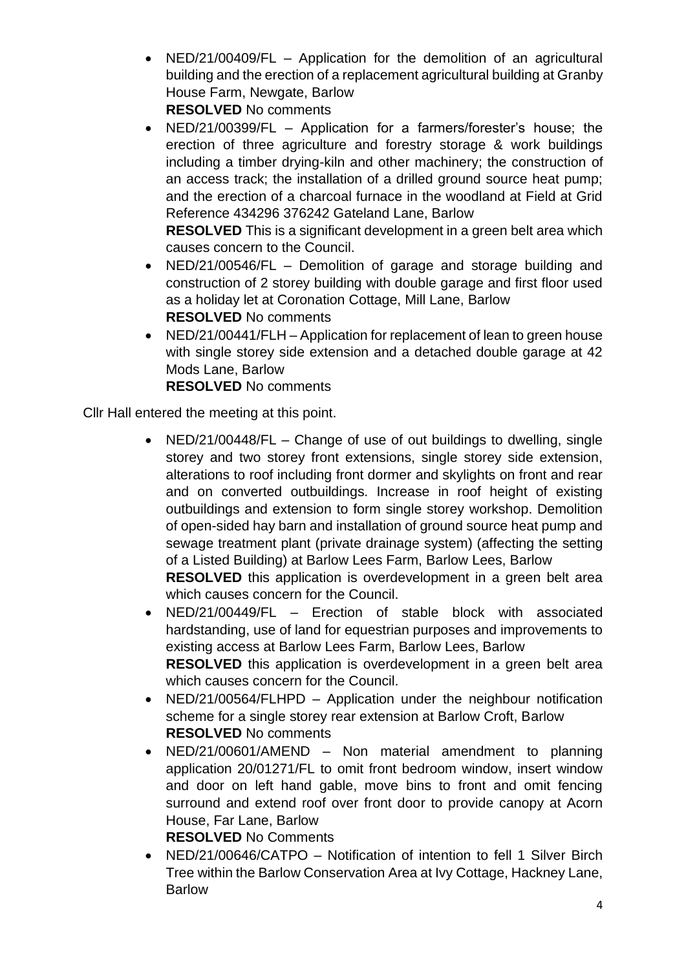- NED/21/00409/FL Application for the demolition of an agricultural building and the erection of a replacement agricultural building at Granby House Farm, Newgate, Barlow **RESOLVED** No comments
- NED/21/00399/FL Application for a farmers/forester's house; the erection of three agriculture and forestry storage & work buildings including a timber drying-kiln and other machinery; the construction of an access track; the installation of a drilled ground source heat pump; and the erection of a charcoal furnace in the woodland at Field at Grid Reference 434296 376242 Gateland Lane, Barlow

**RESOLVED** This is a significant development in a green belt area which causes concern to the Council.

- NED/21/00546/FL Demolition of garage and storage building and construction of 2 storey building with double garage and first floor used as a holiday let at Coronation Cottage, Mill Lane, Barlow **RESOLVED** No comments
- NED/21/00441/FLH Application for replacement of lean to green house with single storey side extension and a detached double garage at 42 Mods Lane, Barlow **RESOLVED** No comments

Cllr Hall entered the meeting at this point.

• NED/21/00448/FL – Change of use of out buildings to dwelling, single storey and two storey front extensions, single storey side extension, alterations to roof including front dormer and skylights on front and rear and on converted outbuildings. Increase in roof height of existing outbuildings and extension to form single storey workshop. Demolition of open-sided hay barn and installation of ground source heat pump and sewage treatment plant (private drainage system) (affecting the setting of a Listed Building) at Barlow Lees Farm, Barlow Lees, Barlow **RESOLVED** this application is overdevelopment in a green belt area

which causes concern for the Council.

- NED/21/00449/FL Erection of stable block with associated hardstanding, use of land for equestrian purposes and improvements to existing access at Barlow Lees Farm, Barlow Lees, Barlow **RESOLVED** this application is overdevelopment in a green belt area which causes concern for the Council.
- NED/21/00564/FLHPD Application under the neighbour notification scheme for a single storey rear extension at Barlow Croft, Barlow **RESOLVED** No comments
- NED/21/00601/AMEND Non material amendment to planning application 20/01271/FL to omit front bedroom window, insert window and door on left hand gable, move bins to front and omit fencing surround and extend roof over front door to provide canopy at Acorn House, Far Lane, Barlow

**RESOLVED** No Comments

• NED/21/00646/CATPO – Notification of intention to fell 1 Silver Birch Tree within the Barlow Conservation Area at Ivy Cottage, Hackney Lane, Barlow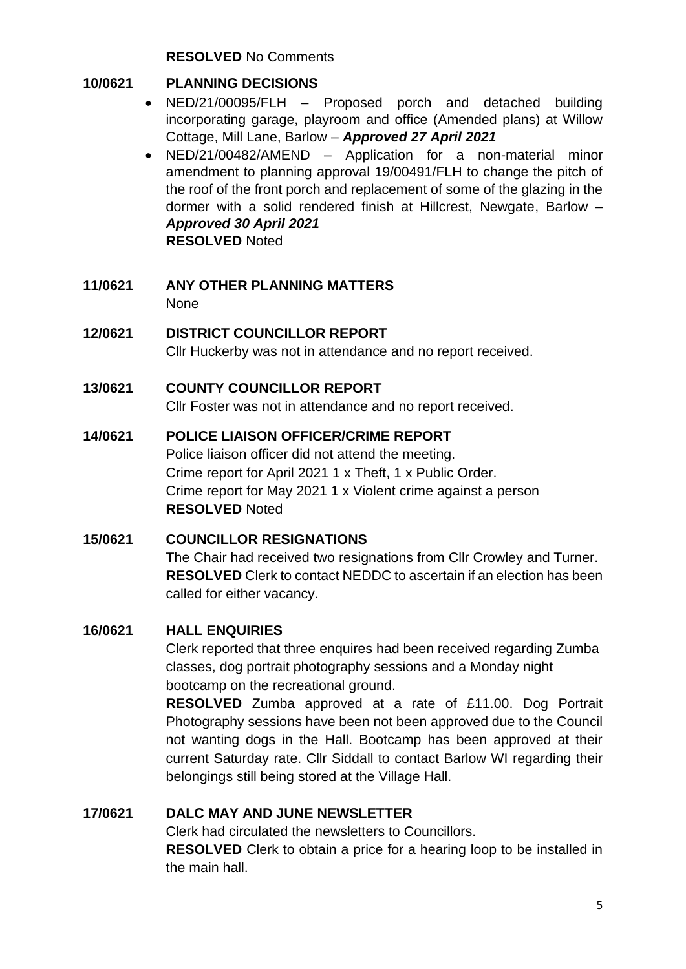**RESOLVED** No Comments

## <span id="page-4-0"></span>**10/0621 PLANNING DECISIONS**

- NED/21/00095/FLH Proposed porch and detached building incorporating garage, playroom and office (Amended plans) at Willow Cottage, Mill Lane, Barlow – *Approved 27 April 2021*
- NED/21/00482/AMEND Application for a non-material minor amendment to planning approval 19/00491/FLH to change the pitch of the roof of the front porch and replacement of some of the glazing in the dormer with a solid rendered finish at Hillcrest, Newgate, Barlow – *Approved 30 April 2021* **RESOLVED** Noted
- <span id="page-4-1"></span>**11/0621 ANY OTHER PLANNING MATTERS** None
- <span id="page-4-2"></span>**12/0621 DISTRICT COUNCILLOR REPORT** Cllr Huckerby was not in attendance and no report received.

## <span id="page-4-3"></span>**13/0621 COUNTY COUNCILLOR REPORT**

Cllr Foster was not in attendance and no report received.

## <span id="page-4-4"></span>**14/0621 POLICE LIAISON OFFICER/CRIME REPORT**

Police liaison officer did not attend the meeting. Crime report for April 2021 1 x Theft, 1 x Public Order. Crime report for May 2021 1 x Violent crime against a person **RESOLVED** Noted

## <span id="page-4-5"></span>**15/0621 COUNCILLOR RESIGNATIONS**

The Chair had received two resignations from Cllr Crowley and Turner. **RESOLVED** Clerk to contact NEDDC to ascertain if an election has been called for either vacancy.

## <span id="page-4-6"></span>**16/0621 HALL ENQUIRIES**

Clerk reported that three enquires had been received regarding Zumba classes, dog portrait photography sessions and a Monday night bootcamp on the recreational ground.

**RESOLVED** Zumba approved at a rate of £11.00. Dog Portrait Photography sessions have been not been approved due to the Council not wanting dogs in the Hall. Bootcamp has been approved at their current Saturday rate. Cllr Siddall to contact Barlow WI regarding their belongings still being stored at the Village Hall.

## <span id="page-4-7"></span>**17/0621 DALC MAY AND JUNE NEWSLETTER**

Clerk had circulated the newsletters to Councillors.

**RESOLVED** Clerk to obtain a price for a hearing loop to be installed in the main hall.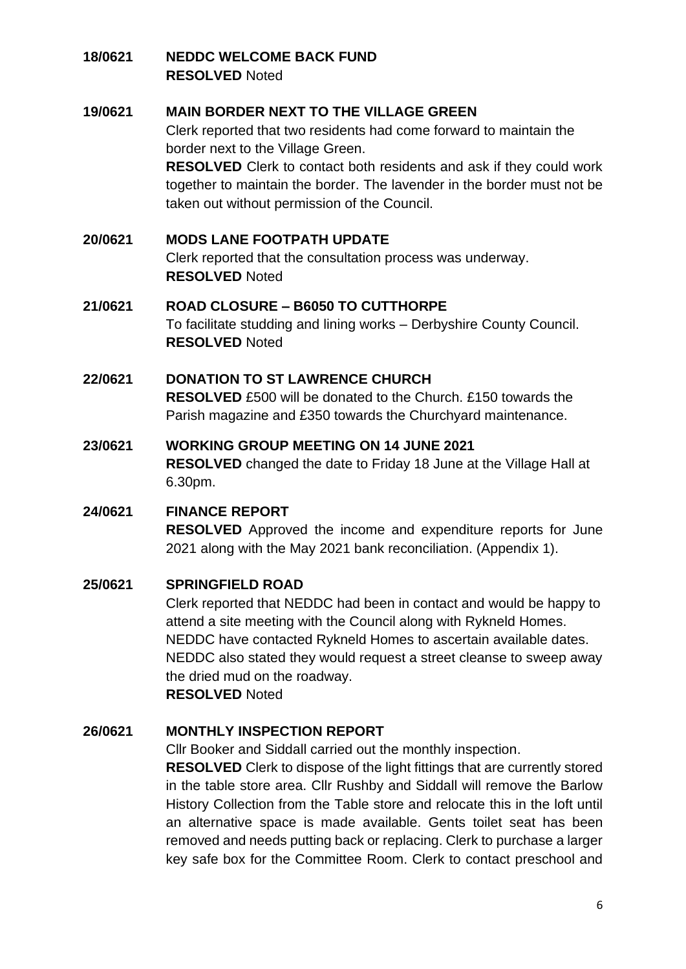### <span id="page-5-0"></span>**18/0621 NEDDC WELCOME BACK FUND RESOLVED** Noted

### <span id="page-5-1"></span>**19/0621 MAIN BORDER NEXT TO THE VILLAGE GREEN**

Clerk reported that two residents had come forward to maintain the border next to the Village Green.

**RESOLVED** Clerk to contact both residents and ask if they could work together to maintain the border. The lavender in the border must not be taken out without permission of the Council.

## <span id="page-5-2"></span>**20/0621 MODS LANE FOOTPATH UPDATE**

Clerk reported that the consultation process was underway. **RESOLVED** Noted

### <span id="page-5-3"></span>**21/0621 ROAD CLOSURE – B6050 TO CUTTHORPE** To facilitate studding and lining works – Derbyshire County Council. **RESOLVED** Noted

## <span id="page-5-4"></span>**22/0621 DONATION TO ST LAWRENCE CHURCH RESOLVED** £500 will be donated to the Church. £150 towards the Parish magazine and £350 towards the Churchyard maintenance.

## <span id="page-5-5"></span>**23/0621 WORKING GROUP MEETING ON 14 JUNE 2021 RESOLVED** changed the date to Friday 18 June at the Village Hall at 6.30pm.

## <span id="page-5-6"></span>**24/0621 FINANCE REPORT RESOLVED** Approved the income and expenditure reports for June

## 2021 along with the May 2021 bank reconciliation. (Appendix 1).

### <span id="page-5-7"></span>**25/0621 SPRINGFIELD ROAD**

Clerk reported that NEDDC had been in contact and would be happy to attend a site meeting with the Council along with Rykneld Homes. NEDDC have contacted Rykneld Homes to ascertain available dates. NEDDC also stated they would request a street cleanse to sweep away the dried mud on the roadway. **RESOLVED** Noted

### <span id="page-5-8"></span>**26/0621 MONTHLY INSPECTION REPORT**

Cllr Booker and Siddall carried out the monthly inspection.

**RESOLVED** Clerk to dispose of the light fittings that are currently stored in the table store area. Cllr Rushby and Siddall will remove the Barlow History Collection from the Table store and relocate this in the loft until an alternative space is made available. Gents toilet seat has been removed and needs putting back or replacing. Clerk to purchase a larger key safe box for the Committee Room. Clerk to contact preschool and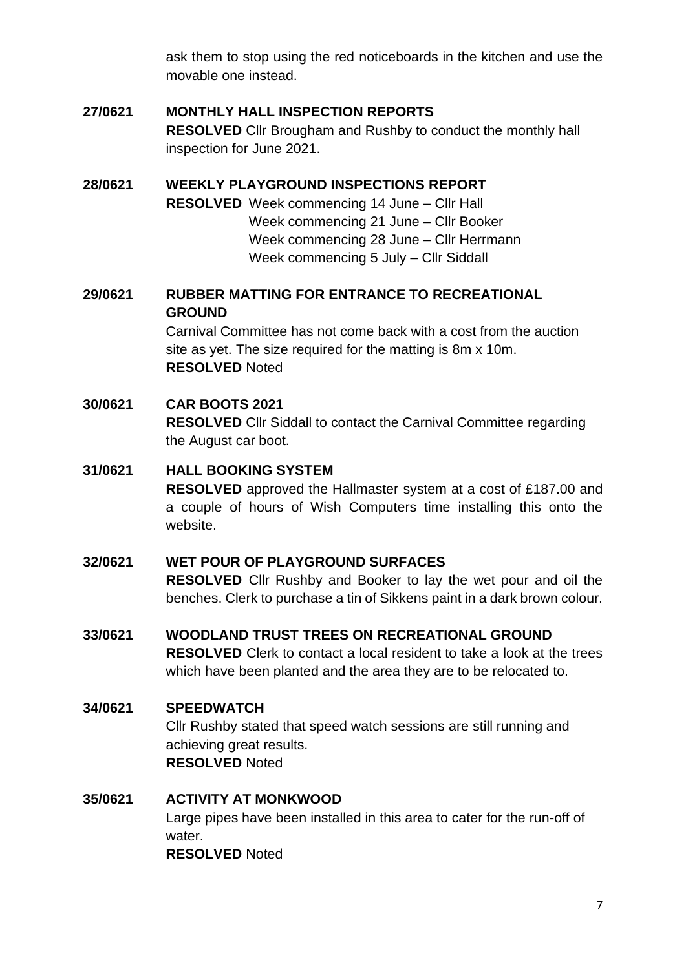ask them to stop using the red noticeboards in the kitchen and use the movable one instead.

# <span id="page-6-0"></span>**27/0621 MONTHLY HALL INSPECTION REPORTS**

**RESOLVED** Cllr Brougham and Rushby to conduct the monthly hall inspection for June 2021.

### <span id="page-6-1"></span>**28/0621 WEEKLY PLAYGROUND INSPECTIONS REPORT**

**RESOLVED** Week commencing 14 June – Cllr Hall Week commencing 21 June – Cllr Booker Week commencing 28 June – Cllr Herrmann Week commencing 5 July – Cllr Siddall

### <span id="page-6-2"></span>**29/0621 RUBBER MATTING FOR ENTRANCE TO RECREATIONAL GROUND**

Carnival Committee has not come back with a cost from the auction site as yet. The size required for the matting is 8m x 10m. **RESOLVED** Noted

## <span id="page-6-3"></span>**30/0621 CAR BOOTS 2021 RESOLVED** Cllr Siddall to contact the Carnival Committee regarding the August car boot.

### <span id="page-6-4"></span>**31/0621 HALL BOOKING SYSTEM**

**RESOLVED** approved the Hallmaster system at a cost of £187.00 and a couple of hours of Wish Computers time installing this onto the website.

### <span id="page-6-5"></span>**32/0621 WET POUR OF PLAYGROUND SURFACES**

**RESOLVED** Cllr Rushby and Booker to lay the wet pour and oil the benches. Clerk to purchase a tin of Sikkens paint in a dark brown colour.

## <span id="page-6-6"></span>**33/0621 WOODLAND TRUST TREES ON RECREATIONAL GROUND**

**RESOLVED** Clerk to contact a local resident to take a look at the trees which have been planted and the area they are to be relocated to.

### <span id="page-6-7"></span>**34/0621 SPEEDWATCH**

Cllr Rushby stated that speed watch sessions are still running and achieving great results. **RESOLVED** Noted

### <span id="page-6-8"></span>**35/0621 ACTIVITY AT MONKWOOD**

Large pipes have been installed in this area to cater for the run-off of water. **RESOLVED** Noted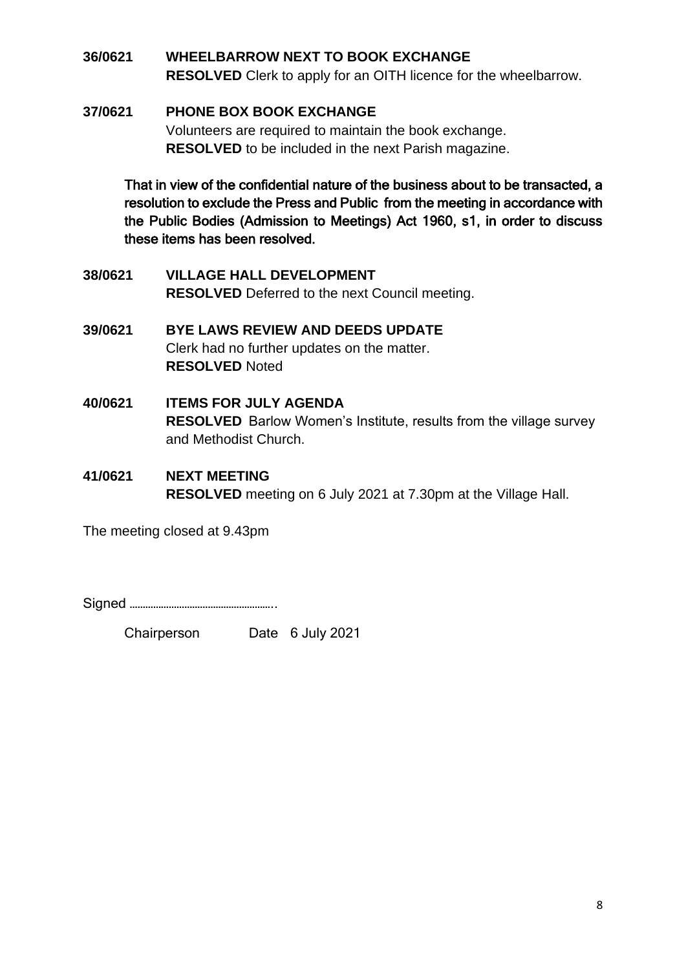## <span id="page-7-0"></span>**36/0621 WHEELBARROW NEXT TO BOOK EXCHANGE RESOLVED** Clerk to apply for an OITH licence for the wheelbarrow.

### <span id="page-7-1"></span>**37/0621 PHONE BOX BOOK EXCHANGE**

Volunteers are required to maintain the book exchange. **RESOLVED** to be included in the next Parish magazine.

That in view of the confidential nature of the business about to be transacted, a resolution to exclude the Press and Public from the meeting in accordance with the Public Bodies (Admission to Meetings) Act 1960, s1, in order to discuss these items has been resolved.

- <span id="page-7-2"></span>**38/0621 VILLAGE HALL DEVELOPMENT RESOLVED** Deferred to the next Council meeting.
- <span id="page-7-3"></span>**39/0621 BYE LAWS REVIEW AND DEEDS UPDATE** Clerk had no further updates on the matter. **RESOLVED** Noted
- <span id="page-7-4"></span>**40/0621 ITEMS FOR JULY AGENDA RESOLVED** Barlow Women's Institute, results from the village survey and Methodist Church.
- <span id="page-7-5"></span>**41/0621 NEXT MEETING RESOLVED** meeting on 6 July 2021 at 7.30pm at the Village Hall.

The meeting closed at 9.43pm

Signed ………………………………………………..

Chairperson Date 6 July 2021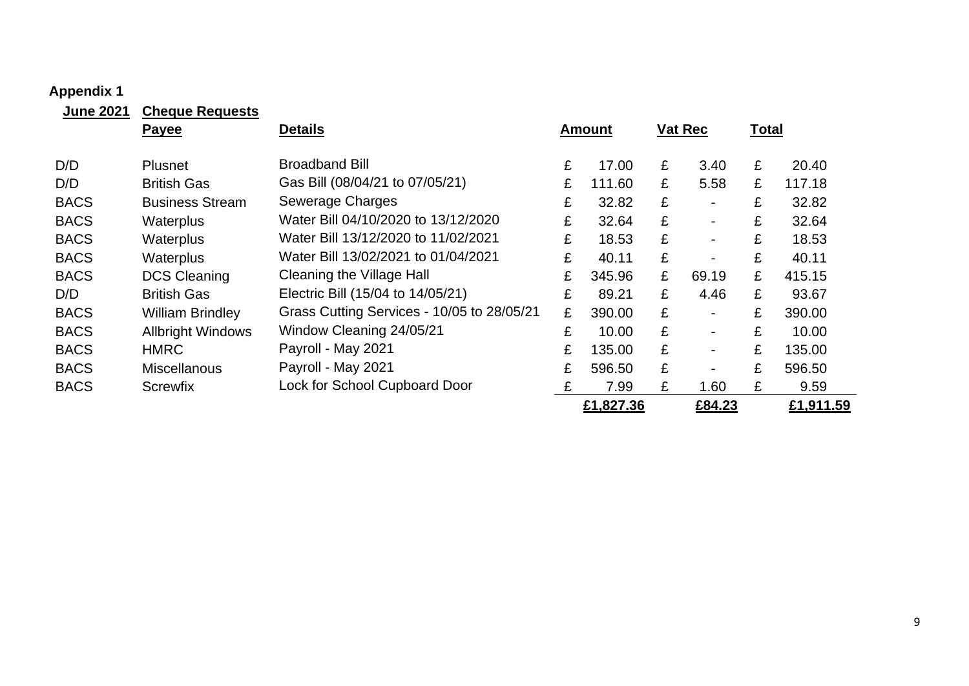## **Appendix 1**

<span id="page-8-0"></span>

| <b>June 2021</b> | <b>Cheque Requests</b>   |                                            |   |               |   |                |              |           |
|------------------|--------------------------|--------------------------------------------|---|---------------|---|----------------|--------------|-----------|
|                  | <b>Payee</b>             | <b>Details</b>                             |   | <b>Amount</b> |   | <b>Vat Rec</b> | <b>Total</b> |           |
| D/D              | <b>Plusnet</b>           | <b>Broadband Bill</b>                      | £ | 17.00         | £ | 3.40           | £            | 20.40     |
| D/D              | <b>British Gas</b>       | Gas Bill (08/04/21 to 07/05/21)            | £ | 111.60        | £ | 5.58           | £            | 117.18    |
| <b>BACS</b>      | <b>Business Stream</b>   | Sewerage Charges                           | £ | 32.82         | £ |                | £            | 32.82     |
| <b>BACS</b>      | Waterplus                | Water Bill 04/10/2020 to 13/12/2020        | £ | 32.64         | £ |                | £            | 32.64     |
| <b>BACS</b>      | Waterplus                | Water Bill 13/12/2020 to 11/02/2021        | £ | 18.53         | £ |                | £            | 18.53     |
| <b>BACS</b>      | Waterplus                | Water Bill 13/02/2021 to 01/04/2021        | £ | 40.11         | £ |                | £            | 40.11     |
| <b>BACS</b>      | <b>DCS Cleaning</b>      | <b>Cleaning the Village Hall</b>           | £ | 345.96        | £ | 69.19          | £            | 415.15    |
| D/D              | <b>British Gas</b>       | Electric Bill (15/04 to 14/05/21)          | £ | 89.21         | £ | 4.46           | £            | 93.67     |
| <b>BACS</b>      | <b>William Brindley</b>  | Grass Cutting Services - 10/05 to 28/05/21 | £ | 390.00        | £ |                | £            | 390.00    |
| <b>BACS</b>      | <b>Allbright Windows</b> | Window Cleaning 24/05/21                   | £ | 10.00         | £ |                | £            | 10.00     |
| <b>BACS</b>      | <b>HMRC</b>              | Payroll - May 2021                         | £ | 135.00        | £ |                | £            | 135.00    |
| <b>BACS</b>      | <b>Miscellanous</b>      | Payroll - May 2021                         | £ | 596.50        | £ |                | £            | 596.50    |
| <b>BACS</b>      | <b>Screwfix</b>          | Lock for School Cupboard Door              | £ | 7.99          | £ | 1.60           | £            | 9.59      |
|                  |                          |                                            |   | £1,827.36     |   | £84.23         |              | £1,911.59 |